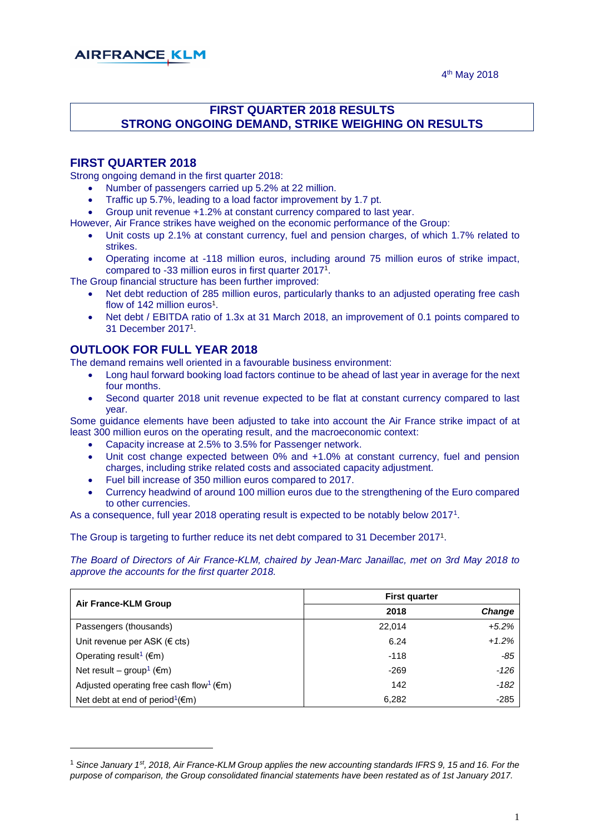# **AIRFRANCE KLM**

### **FIRST QUARTER 2018 RESULTS STRONG ONGOING DEMAND, STRIKE WEIGHING ON RESULTS**

#### **FIRST QUARTER 2018**

Strong ongoing demand in the first quarter 2018:

- Number of passengers carried up 5.2% at 22 million.
- Traffic up 5.7%, leading to a load factor improvement by 1.7 pt.
- Group unit revenue +1.2% at constant currency compared to last year.

However, Air France strikes have weighed on the economic performance of the Group:

- Unit costs up 2.1% at constant currency, fuel and pension charges, of which 1.7% related to strikes.
- Operating income at -118 million euros, including around 75 million euros of strike impact, compared to -33 million euros in first quarter 2017<sup>1</sup> .

The Group financial structure has been further improved:

- Net debt reduction of 285 million euros, particularly thanks to an adjusted operating free cash flow of 142 million euros<sup>1</sup>.
- Net debt / EBITDA ratio of 1.3x at 31 March 2018, an improvement of 0.1 points compared to 31 December 2017<sup>1</sup> .

#### **OUTLOOK FOR FULL YEAR 2018**

-

The demand remains well oriented in a favourable business environment:

- Long haul forward booking load factors continue to be ahead of last year in average for the next four months.
- Second quarter 2018 unit revenue expected to be flat at constant currency compared to last year.

Some guidance elements have been adjusted to take into account the Air France strike impact of at least 300 million euros on the operating result, and the macroeconomic context:

- Capacity increase at 2.5% to 3.5% for Passenger network.
- Unit cost change expected between 0% and +1.0% at constant currency, fuel and pension charges, including strike related costs and associated capacity adjustment.
- Fuel bill increase of 350 million euros compared to 2017.
- Currency headwind of around 100 million euros due to the strengthening of the Euro compared to other currencies.

As a consequence, full year 2018 operating result is expected to be notably below 2017<sup>1</sup> .

The Group is targeting to further reduce its net debt compared to 31 December 2017<sup>1</sup>.

*The Board of Directors of Air France-KLM, chaired by Jean-Marc Janaillac, met on 3rd May 2018 to approve the accounts for the first quarter 2018.*

| Air France-KLM Group                                           | <b>First quarter</b> |         |  |  |
|----------------------------------------------------------------|----------------------|---------|--|--|
|                                                                | 2018                 | Change  |  |  |
| Passengers (thousands)                                         | 22,014               | $+5.2%$ |  |  |
| Unit revenue per ASK ( $\in$ cts)                              | 6.24                 | $+1.2%$ |  |  |
| Operating result <sup>1</sup> ( $\epsilon$ m)                  | $-118$               | $-85$   |  |  |
| Net result – group <sup>1</sup> ( $\epsilon$ m)                | $-269$               | $-126$  |  |  |
| Adjusted operating free cash flow <sup>1</sup> ( $\epsilon$ m) | 142                  | -182    |  |  |
| Net debt at end of period <sup>1</sup> ( $\epsilon$ m)         | 6,282                | $-285$  |  |  |

<sup>1</sup> *Since January 1st, 2018, Air France-KLM Group applies the new accounting standards IFRS 9, 15 and 16. For the purpose of comparison, the Group consolidated financial statements have been restated as of 1st January 2017.*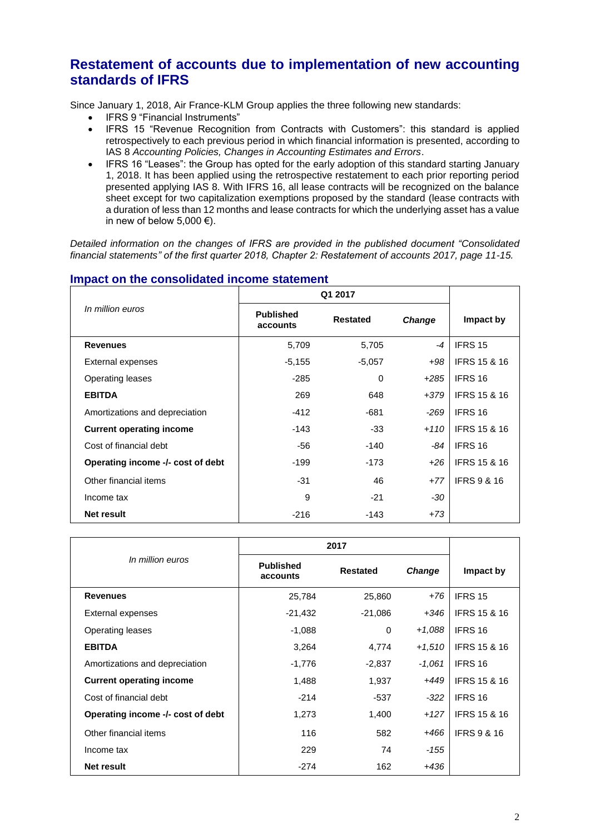# **Restatement of accounts due to implementation of new accounting standards of IFRS**

Since January 1, 2018, Air France-KLM Group applies the three following new standards:

- IFRS 9 "Financial Instruments"
- IFRS 15 "Revenue Recognition from Contracts with Customers": this standard is applied retrospectively to each previous period in which financial information is presented, according to IAS 8 *Accounting Policies, Changes in Accounting Estimates and Errors*.
- IFRS 16 "Leases": the Group has opted for the early adoption of this standard starting January 1, 2018. It has been applied using the retrospective restatement to each prior reporting period presented applying IAS 8. With IFRS 16, all lease contracts will be recognized on the balance sheet except for two capitalization exemptions proposed by the standard (lease contracts with a duration of less than 12 months and lease contracts for which the underlying asset has a value in new of below 5,000  $\epsilon$ ).

*Detailed information on the changes of IFRS are provided in the published document ["Consolidated](http://www.airfranceklm.com/sites/default/files/124_afklm_consolidated_financial_statement_2017.pdf)  [financial statements"](http://www.airfranceklm.com/sites/default/files/124_afklm_consolidated_financial_statement_2017.pdf) of the first quarter 2018, Chapter 2: Restatement of accounts 2017, page 11-15.*

|                                   |                              | Q1 2017         |               |                         |
|-----------------------------------|------------------------------|-----------------|---------------|-------------------------|
| In million euros                  | <b>Published</b><br>accounts | <b>Restated</b> | <b>Change</b> | Impact by               |
| <b>Revenues</b>                   | 5,709                        | 5,705           | $-4$          | IFRS 15                 |
| External expenses                 | $-5,155$                     | $-5,057$        | +98           | <b>IFRS 15 &amp; 16</b> |
| <b>Operating leases</b>           | $-285$                       | $\Omega$        | $+285$        | IFRS 16                 |
| <b>EBITDA</b>                     | 269                          | 648             | +379          | <b>IFRS 15 &amp; 16</b> |
| Amortizations and depreciation    | $-412$                       | -681            | -269          | IFRS 16                 |
| <b>Current operating income</b>   | $-143$                       | $-33$           | $+110$        | <b>IFRS 15 &amp; 16</b> |
| Cost of financial debt            | -56                          | -140            | -84           | IFRS 16                 |
| Operating income -/- cost of debt | $-199$                       | $-173$          | $+26$         | <b>IFRS 15 &amp; 16</b> |
| Other financial items             | $-31$                        | 46              | $+77$         | <b>IFRS 9 &amp; 16</b>  |
| Income tax                        | 9                            | $-21$           | $-30$         |                         |
| <b>Net result</b>                 | $-216$                       | -143            | $+73$         |                         |

#### **Impact on the consolidated income statement**

| In million euros                  | <b>Published</b><br>accounts | <b>Restated</b> | <b>Change</b> | Impact by               |
|-----------------------------------|------------------------------|-----------------|---------------|-------------------------|
| <b>Revenues</b>                   | 25,784                       | 25,860          | $+76$         | IFRS 15                 |
| External expenses                 | $-21,432$                    | $-21,086$       | $+346$        | <b>IFRS 15 &amp; 16</b> |
| Operating leases                  | $-1,088$                     | $\Omega$        | $+1,088$      | IFRS 16                 |
| <b>EBITDA</b>                     | 3,264                        | 4,774           | $+1.510$      | <b>IFRS 15 &amp; 16</b> |
| Amortizations and depreciation    | $-1,776$                     | $-2,837$        | $-1,061$      | <b>IFRS 16</b>          |
| <b>Current operating income</b>   | 1,488                        | 1,937           | $+449$        | <b>IFRS 15 &amp; 16</b> |
| Cost of financial debt            | $-214$                       | -537            | $-322$        | IFRS 16                 |
| Operating income -/- cost of debt | 1,273                        | 1,400           | $+127$        | <b>IFRS 15 &amp; 16</b> |
| Other financial items             | 116                          | 582             | $+466$        | <b>IFRS 9 &amp; 16</b>  |
| Income tax                        | 229                          | 74              | $-155$        |                         |
| Net result                        | -274                         | 162             | +436          |                         |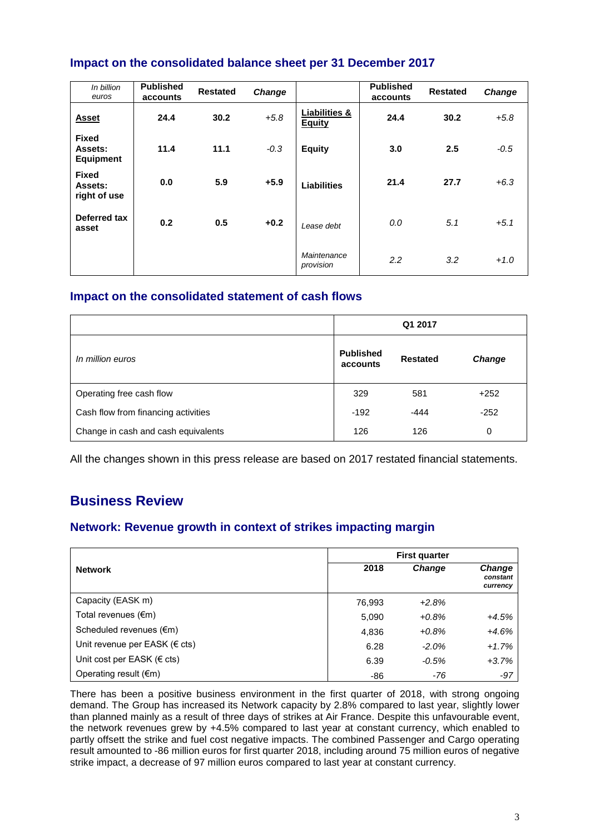# **Impact on the consolidated balance sheet per 31 December 2017**

| In billion<br>euros                         | <b>Published</b><br>accounts | <b>Restated</b> | <b>Change</b> |                                           | <b>Published</b><br>accounts | <b>Restated</b> | <b>Change</b> |
|---------------------------------------------|------------------------------|-----------------|---------------|-------------------------------------------|------------------------------|-----------------|---------------|
| <b>Asset</b>                                | 24.4                         | 30.2            | $+5.8$        | <b>Liabilities &amp;</b><br><b>Equity</b> | 24.4                         | 30.2            | $+5.8$        |
| <b>Fixed</b><br>Assets:<br><b>Equipment</b> | 11.4                         | 11.1            | $-0.3$        | <b>Equity</b>                             | 3.0                          | 2.5             | $-0.5$        |
| <b>Fixed</b><br>Assets:<br>right of use     | 0.0                          | 5.9             | $+5.9$        | <b>Liabilities</b>                        | 21.4                         | 27.7            | $+6.3$        |
| Deferred tax<br>asset                       | 0.2                          | 0.5             | $+0.2$        | Lease debt                                | 0.0                          | 5.1             | $+5.1$        |
|                                             |                              |                 |               | Maintenance<br>provision                  | 2.2                          | 3.2             | $+1.0$        |

### **Impact on the consolidated statement of cash flows**

|                                     |                              | Q1 2017         |               |
|-------------------------------------|------------------------------|-----------------|---------------|
| In million euros                    | <b>Published</b><br>accounts | <b>Restated</b> | <b>Change</b> |
| Operating free cash flow            | 329                          | 581             | $+252$        |
| Cash flow from financing activities | $-192$                       | $-444$          | $-252$        |
| Change in cash and cash equivalents | 126                          | 126             | 0             |

All the changes shown in this press release are based on 2017 restated financial statements.

# **Business Review**

### **Network: Revenue growth in context of strikes impacting margin**

|                                    | <b>First quarter</b> |               |                                       |  |
|------------------------------------|----------------------|---------------|---------------------------------------|--|
| <b>Network</b>                     | 2018                 | <b>Change</b> | <b>Change</b><br>constant<br>currency |  |
| Capacity (EASK m)                  | 76,993               | $+2.8%$       |                                       |  |
| Total revenues $(\epsilon m)$      | 5,090                | $+0.8%$       | $+4.5%$                               |  |
| Scheduled revenues (€m)            | 4,836                | $+0.8%$       | $+4.6%$                               |  |
| Unit revenue per EASK ( $\in$ cts) | 6.28                 | $-2.0%$       | $+1.7%$                               |  |
| Unit cost per EASK ( $\in$ cts)    | 6.39                 | $-0.5%$       | $+3.7%$                               |  |
| Operating result $(\epsilon m)$    | -86                  | -76           | -97                                   |  |

There has been a positive business environment in the first quarter of 2018, with strong ongoing demand. The Group has increased its Network capacity by 2.8% compared to last year, slightly lower than planned mainly as a result of three days of strikes at Air France. Despite this unfavourable event, the network revenues grew by +4.5% compared to last year at constant currency, which enabled to partly offsett the strike and fuel cost negative impacts. The combined Passenger and Cargo operating result amounted to -86 million euros for first quarter 2018, including around 75 million euros of negative strike impact, a decrease of 97 million euros compared to last year at constant currency.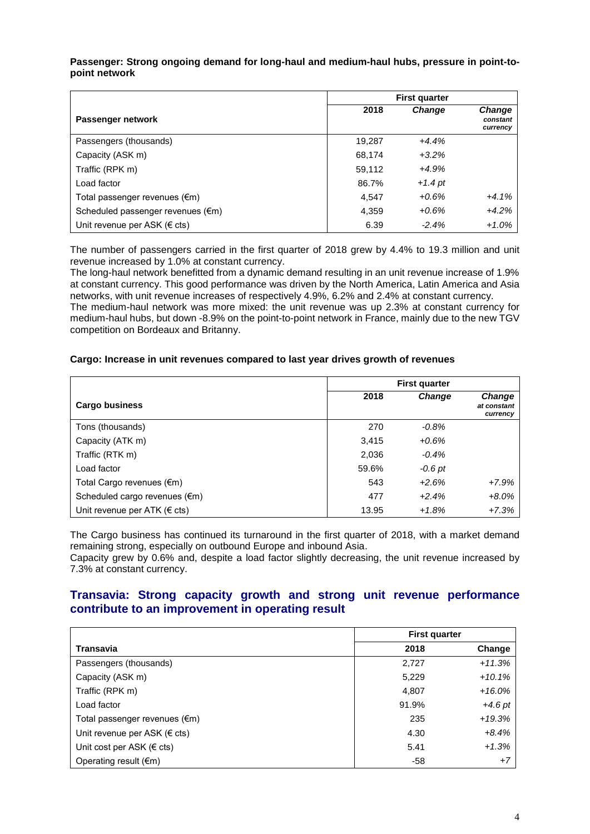#### **Passenger: Strong ongoing demand for long-haul and medium-haul hubs, pressure in point-topoint network**

|                                   | <b>First quarter</b> |               |                                |
|-----------------------------------|----------------------|---------------|--------------------------------|
| Passenger network                 | 2018                 | <b>Change</b> | Change<br>constant<br>currency |
| Passengers (thousands)            | 19,287               | $+4.4%$       |                                |
| Capacity (ASK m)                  | 68,174               | $+3.2%$       |                                |
| Traffic (RPK m)                   | 59,112               | $+4.9%$       |                                |
| Load factor                       | 86.7%                | $+1.4$ pt     |                                |
| Total passenger revenues (€m)     | 4,547                | $+0.6%$       | $+4.1%$                        |
| Scheduled passenger revenues (€m) | 4,359                | $+0.6%$       | $+4.2%$                        |
| Unit revenue per ASK (€ cts)      | 6.39                 | $-2.4%$       | $+1.0%$                        |

The number of passengers carried in the first quarter of 2018 grew by 4.4% to 19.3 million and unit revenue increased by 1.0% at constant currency.

The long-haul network benefitted from a dynamic demand resulting in an unit revenue increase of 1.9% at constant currency. This good performance was driven by the North America, Latin America and Asia networks, with unit revenue increases of respectively 4.9%, 6.2% and 2.4% at constant currency.

The medium-haul network was more mixed: the unit revenue was up 2.3% at constant currency for medium-haul hubs, but down -8.9% on the point-to-point network in France, mainly due to the new TGV competition on Bordeaux and Britanny.

#### **Cargo: Increase in unit revenues compared to last year drives growth of revenues**

|                                   | <b>First quarter</b> |          |                                          |
|-----------------------------------|----------------------|----------|------------------------------------------|
| <b>Cargo business</b>             | 2018                 | Change   | <b>Change</b><br>at constant<br>currency |
| Tons (thousands)                  | 270                  | $-0.8\%$ |                                          |
| Capacity (ATK m)                  | 3,415                | $+0.6%$  |                                          |
| Traffic (RTK m)                   | 2,036                | $-0.4%$  |                                          |
| Load factor                       | 59.6%                | -0.6 pt  |                                          |
| Total Cargo revenues (€m)         | 543                  | $+2.6%$  | $+7.9%$                                  |
| Scheduled cargo revenues (€m)     | 477                  | $+2.4%$  | $+8.0%$                                  |
| Unit revenue per ATK ( $\in$ cts) | 13.95                | $+1.8%$  | $+7.3%$                                  |

The Cargo business has continued its turnaround in the first quarter of 2018, with a market demand remaining strong, especially on outbound Europe and inbound Asia.

Capacity grew by 0.6% and, despite a load factor slightly decreasing, the unit revenue increased by 7.3% at constant currency.

#### **Transavia: Strong capacity growth and strong unit revenue performance contribute to an improvement in operating result**

|                                     | <b>First quarter</b> |           |  |
|-------------------------------------|----------------------|-----------|--|
| <b>Transavia</b>                    | 2018                 | Change    |  |
| Passengers (thousands)              | 2,727                | $+11.3%$  |  |
| Capacity (ASK m)                    | 5,229                | $+10.1%$  |  |
| Traffic (RPK m)                     | 4,807                | $+16.0%$  |  |
| Load factor                         | 91.9%                | $+4.6$ pt |  |
| Total passenger revenues (€m)       | 235                  | $+19.3%$  |  |
| Unit revenue per ASK ( $\in$ cts)   | 4.30                 | $+8.4%$   |  |
| Unit cost per ASK ( $\epsilon$ cts) | 5.41                 | $+1.3%$   |  |
| Operating result $(\epsilon m)$     | $-58$                | $+7$      |  |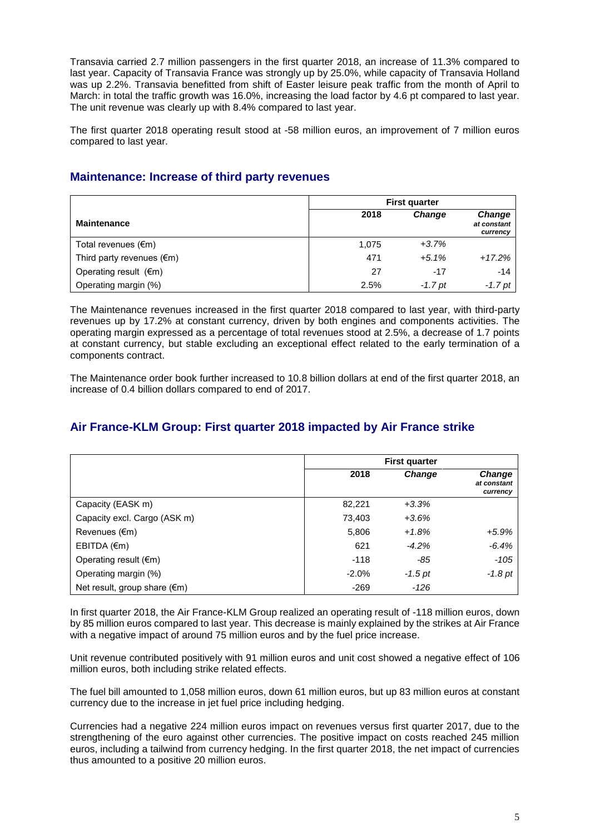Transavia carried 2.7 million passengers in the first quarter 2018, an increase of 11.3% compared to last year. Capacity of Transavia France was strongly up by 25.0%, while capacity of Transavia Holland was up 2.2%. Transavia benefitted from shift of Easter leisure peak traffic from the month of April to March: in total the traffic growth was 16.0%, increasing the load factor by 4.6 pt compared to last year. The unit revenue was clearly up with 8.4% compared to last year.

The first quarter 2018 operating result stood at -58 million euros, an improvement of 7 million euros compared to last year.

# **Maintenance: Increase of third party revenues**

|                                     | <b>First quarter</b> |               |                                          |
|-------------------------------------|----------------------|---------------|------------------------------------------|
| <b>Maintenance</b>                  | 2018                 | <b>Change</b> | <b>Change</b><br>at constant<br>currency |
| Total revenues $(\epsilon m)$       | 1.075                | $+3.7%$       |                                          |
| Third party revenues $(\epsilon m)$ | 471                  | $+5.1%$       | $+17.2%$                                 |
| Operating result $(\epsilon m)$     | 27                   | -17           | $-14$                                    |
| Operating margin (%)                | 2.5%                 | $-1.7$ pt     | $-1.7$ pt                                |

The Maintenance revenues increased in the first quarter 2018 compared to last year, with third-party revenues up by 17.2% at constant currency, driven by both engines and components activities. The operating margin expressed as a percentage of total revenues stood at 2.5%, a decrease of 1.7 points at constant currency, but stable excluding an exceptional effect related to the early termination of a components contract.

The Maintenance order book further increased to 10.8 billion dollars at end of the first quarter 2018, an increase of 0.4 billion dollars compared to end of 2017.

# **Air France-KLM Group: First quarter 2018 impacted by Air France strike**

|                                        | <b>First quarter</b> |               |                                   |
|----------------------------------------|----------------------|---------------|-----------------------------------|
|                                        | 2018                 | <b>Change</b> | Change<br>at constant<br>currency |
| Capacity (EASK m)                      | 82,221               | $+3.3%$       |                                   |
| Capacity excl. Cargo (ASK m)           | 73,403               | $+3.6%$       |                                   |
| Revenues $(\epsilon m)$                | 5,806                | $+1.8%$       | $+5.9%$                           |
| $EBITDA$ ( $\epsilon$ m)               | 621                  | $-4.2%$       | $-6.4%$                           |
| Operating result $(\epsilon m)$        | $-118$               | -85           | $-105$                            |
| Operating margin (%)                   | $-2.0%$              | $-1.5$ pt     | $-1.8$ pt                         |
| Net result, group share $(\epsilon m)$ | $-269$               | $-126$        |                                   |

In first quarter 2018, the Air France-KLM Group realized an operating result of -118 million euros, down by 85 million euros compared to last year. This decrease is mainly explained by the strikes at Air France with a negative impact of around 75 million euros and by the fuel price increase.

Unit revenue contributed positively with 91 million euros and unit cost showed a negative effect of 106 million euros, both including strike related effects.

The fuel bill amounted to 1,058 million euros, down 61 million euros, but up 83 million euros at constant currency due to the increase in jet fuel price including hedging.

Currencies had a negative 224 million euros impact on revenues versus first quarter 2017, due to the strengthening of the euro against other currencies. The positive impact on costs reached 245 million euros, including a tailwind from currency hedging. In the first quarter 2018, the net impact of currencies thus amounted to a positive 20 million euros.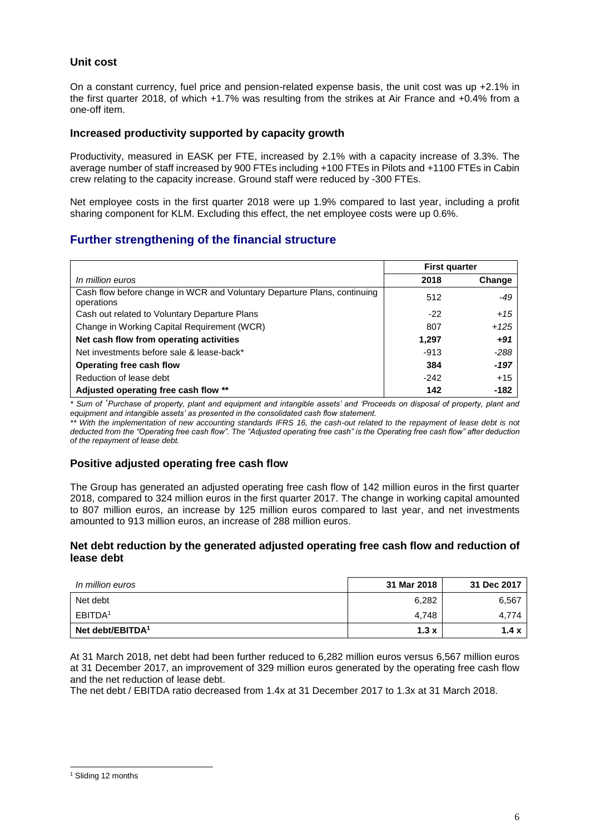#### **Unit cost**

On a constant currency, fuel price and pension-related expense basis, the unit cost was up +2.1% in the first quarter 2018, of which +1.7% was resulting from the strikes at Air France and +0.4% from a one-off item.

#### **Increased productivity supported by capacity growth**

Productivity, measured in EASK per FTE, increased by 2.1% with a capacity increase of 3.3%. The average number of staff increased by 900 FTEs including +100 FTEs in Pilots and +1100 FTEs in Cabin crew relating to the capacity increase. Ground staff were reduced by -300 FTEs.

Net employee costs in the first quarter 2018 were up 1.9% compared to last year, including a profit sharing component for KLM. Excluding this effect, the net employee costs were up 0.6%.

#### **Further strengthening of the financial structure**

|                                                                                        | <b>First quarter</b> |        |
|----------------------------------------------------------------------------------------|----------------------|--------|
| In million euros                                                                       | 2018                 | Change |
| Cash flow before change in WCR and Voluntary Departure Plans, continuing<br>operations | 512                  | -49    |
| Cash out related to Voluntary Departure Plans                                          | $-22$                | $+15$  |
| Change in Working Capital Requirement (WCR)                                            | 807                  | $+125$ |
| Net cash flow from operating activities                                                | 1,297                | $+91$  |
| Net investments before sale & lease-back*                                              | $-913$               | $-288$ |
| Operating free cash flow                                                               | 384                  | $-197$ |
| Reduction of lease debt                                                                | $-242$               | $+15$  |
| Adjusted operating free cash flow **                                                   | 142                  | -182   |

*\* Sum of* '*Purchase of property, plant and equipment and intangible assets' and 'Proceeds on disposal of property, plant and equipment and intangible assets' as presented in the consolidated cash flow statement.*

*\*\* With the implementation of new accounting standards IFRS 16, the cash-out related to the repayment of lease debt is not deducted from the "Operating free cash flow". The "Adjusted operating free cash" is the Operating free cash flow" after deduction of the repayment of lease debt.*

#### **Positive adjusted operating free cash flow**

The Group has generated an adjusted operating free cash flow of 142 million euros in the first quarter 2018, compared to 324 million euros in the first quarter 2017. The change in working capital amounted to 807 million euros, an increase by 125 million euros compared to last year, and net investments amounted to 913 million euros, an increase of 288 million euros.

#### **Net debt reduction by the generated adjusted operating free cash flow and reduction of lease debt**

| In million euros             | 31 Mar 2018 | 31 Dec 2017  |
|------------------------------|-------------|--------------|
| Net debt                     | 6,282       | 6,567        |
| EBITDA <sup>1</sup>          | 4,748       | 4.774        |
| Net debt/EBITDA <sup>1</sup> | 1.3x        | 1.4 $\times$ |

At 31 March 2018, net debt had been further reduced to 6,282 million euros versus 6,567 million euros at 31 December 2017, an improvement of 329 million euros generated by the operating free cash flow and the net reduction of lease debt.

The net debt / EBITDA ratio decreased from 1.4x at 31 December 2017 to 1.3x at 31 March 2018.

-

<sup>&</sup>lt;sup>1</sup> Sliding 12 months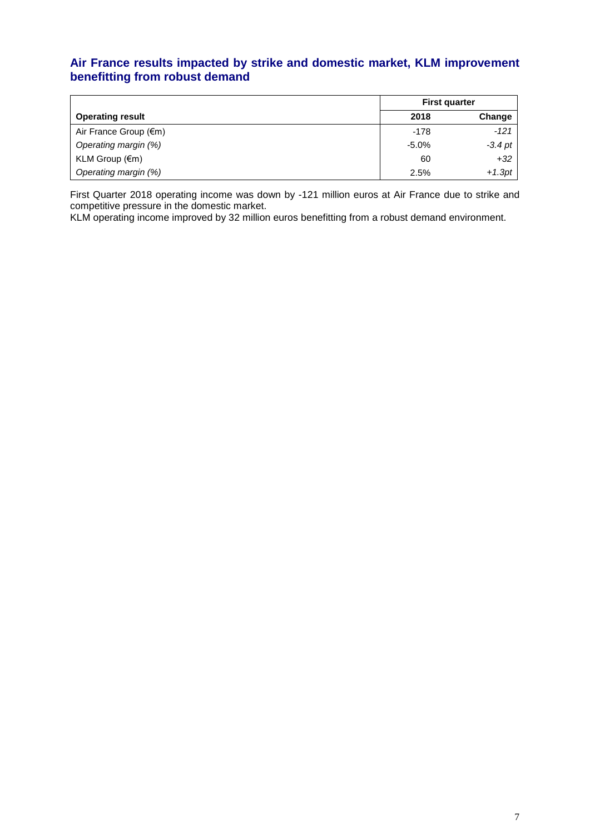# **Air France results impacted by strike and domestic market, KLM improvement benefitting from robust demand**

|                          | <b>First quarter</b> |           |
|--------------------------|----------------------|-----------|
| <b>Operating result</b>  | 2018                 | Change    |
| Air France Group (€m)    | $-178$               | $-121$    |
| Operating margin (%)     | $-5.0\%$             | $-3.4$ pt |
| KLM Group $(\epsilon m)$ | 60                   | $+32$     |
| Operating margin (%)     | 2.5%                 | $+1.3pt$  |

First Quarter 2018 operating income was down by -121 million euros at Air France due to strike and competitive pressure in the domestic market.

KLM operating income improved by 32 million euros benefitting from a robust demand environment.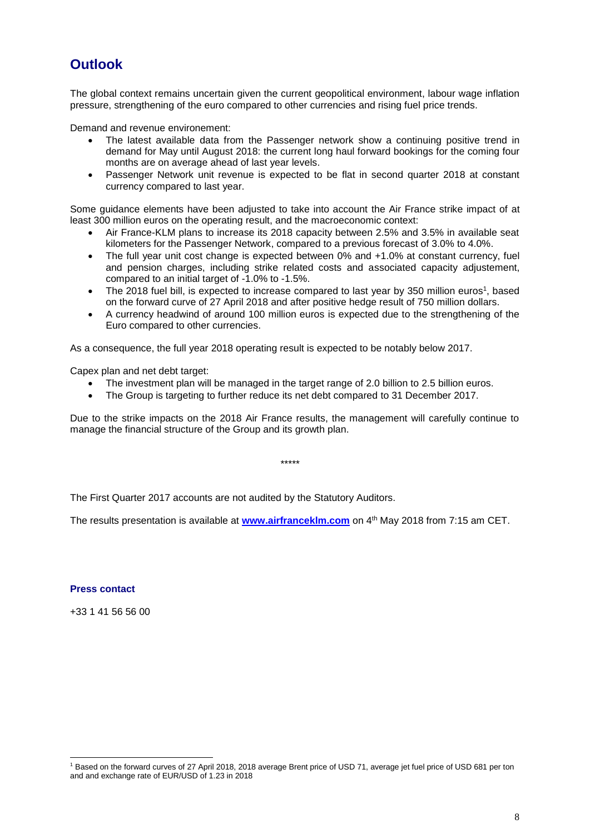# **Outlook**

The global context remains uncertain given the current geopolitical environment, labour wage inflation pressure, strengthening of the euro compared to other currencies and rising fuel price trends.

Demand and revenue environement:

- The latest available data from the Passenger network show a continuing positive trend in demand for May until August 2018: the current long haul forward bookings for the coming four months are on average ahead of last year levels.
- Passenger Network unit revenue is expected to be flat in second quarter 2018 at constant currency compared to last year.

Some guidance elements have been adjusted to take into account the Air France strike impact of at least 300 million euros on the operating result, and the macroeconomic context:

- Air France-KLM plans to increase its 2018 capacity between 2.5% and 3.5% in available seat kilometers for the Passenger Network, compared to a previous forecast of 3.0% to 4.0%.
- The full year unit cost change is expected between 0% and +1.0% at constant currency, fuel and pension charges, including strike related costs and associated capacity adjustement, compared to an initial target of -1.0% to -1.5%.
- The 2018 fuel bill, is expected to increase compared to last year by 350 million euros<sup>1</sup>, based on the forward curve of 27 April 2018 and after positive hedge result of 750 million dollars.
- A currency headwind of around 100 million euros is expected due to the strengthening of the Euro compared to other currencies.

As a consequence, the full year 2018 operating result is expected to be notably below 2017.

Capex plan and net debt target:

- The investment plan will be managed in the target range of 2.0 billion to 2.5 billion euros.
- The Group is targeting to further reduce its net debt compared to 31 December 2017.

Due to the strike impacts on the 2018 Air France results, the management will carefully continue to manage the financial structure of the Group and its growth plan.

\*\*\*\*\*

The First Quarter 2017 accounts are not audited by the Statutory Auditors.

The results presentation is available at <u>www.airfrancekIm.com</u> on 4<sup>th</sup> May 2018 from 7:15 am CET.

#### **Press contact**

-

+33 1 41 56 56 00

<sup>1</sup> Based on the forward curves of 27 April 2018, 2018 average Brent price of USD 71, average jet fuel price of USD 681 per ton and and exchange rate of EUR/USD of 1.23 in 2018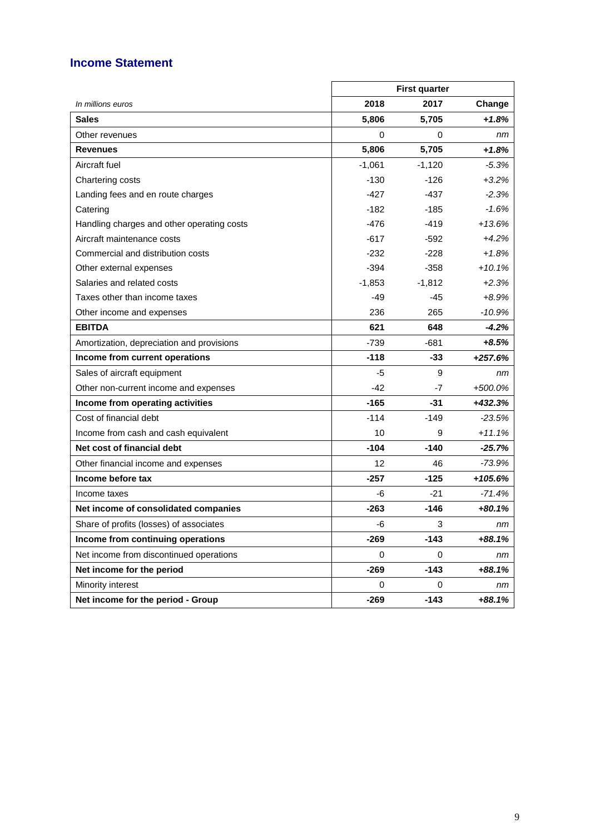# **Income Statement**

|                                            |             | <b>First quarter</b> |           |
|--------------------------------------------|-------------|----------------------|-----------|
| In millions euros                          | 2018        | 2017                 | Change    |
| <b>Sales</b>                               | 5,806       | 5,705                | $+1.8%$   |
| Other revenues                             | 0           | 0                    | nm        |
| <b>Revenues</b>                            | 5,806       | 5,705                | $+1.8%$   |
| Aircraft fuel                              | $-1,061$    | $-1,120$             | $-5.3%$   |
| Chartering costs                           | $-130$      | $-126$               | $+3.2%$   |
| Landing fees and en route charges          | $-427$      | -437                 | $-2.3%$   |
| Catering                                   | -182        | $-185$               | $-1.6%$   |
| Handling charges and other operating costs | $-476$      | $-419$               | $+13.6%$  |
| Aircraft maintenance costs                 | $-617$      | -592                 | $+4.2%$   |
| Commercial and distribution costs          | $-232$      | $-228$               | $+1.8%$   |
| Other external expenses                    | $-394$      | $-358$               | $+10.1%$  |
| Salaries and related costs                 | $-1,853$    | $-1,812$             | $+2.3%$   |
| Taxes other than income taxes              | $-49$       | $-45$                | $+8.9%$   |
| Other income and expenses                  | 236         | 265                  | $-10.9%$  |
| <b>EBITDA</b>                              | 621         | 648                  | $-4.2%$   |
| Amortization, depreciation and provisions  | $-739$      | -681                 | +8.5%     |
| Income from current operations             | $-118$      | $-33$                | $+257.6%$ |
| Sales of aircraft equipment                | $-5$        | 9                    | nm        |
| Other non-current income and expenses      | -42         | -7                   | +500.0%   |
| Income from operating activities           | $-165$      | $-31$                | +432.3%   |
| Cost of financial debt                     | $-114$      | $-149$               | $-23.5%$  |
| Income from cash and cash equivalent       | 10          | 9                    | $+11.1%$  |
| Net cost of financial debt                 | $-104$      | $-140$               | $-25.7%$  |
| Other financial income and expenses        | 12          | 46                   | -73.9%    |
| Income before tax                          | $-257$      | $-125$               | $+105.6%$ |
| Income taxes                               | -6          | -21                  | $-71.4%$  |
| Net income of consolidated companies       | $-263$      | -146                 | $+80.1%$  |
| Share of profits (losses) of associates    | -6          | 3                    | nm        |
| Income from continuing operations          | -269        | $-143$               | +88.1%    |
| Net income from discontinued operations    | $\mathbf 0$ | 0                    | nm        |
| Net income for the period                  | $-269$      | $-143$               | +88.1%    |
| Minority interest                          | 0           | 0                    | nm        |
| Net income for the period - Group          | $-269$      | $-143$               | +88.1%    |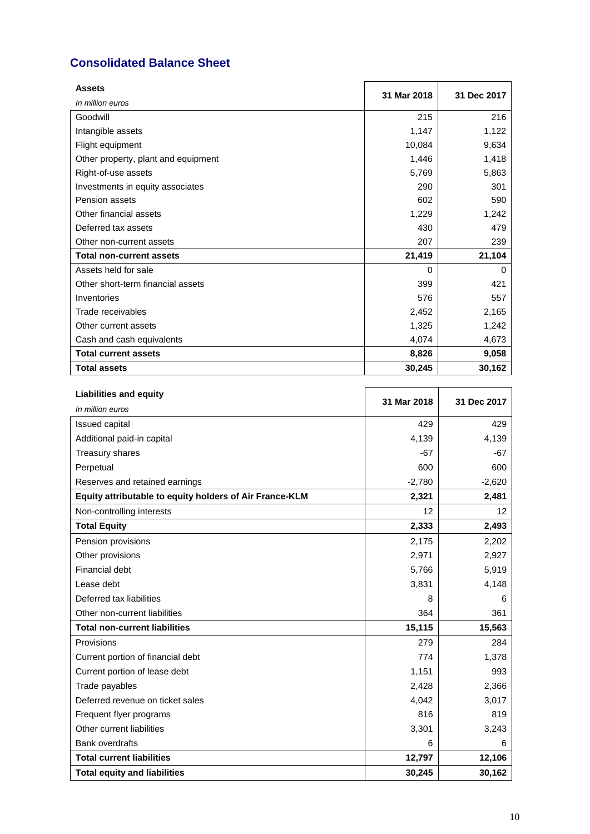# **Consolidated Balance Sheet**

| <b>Assets</b>                       | 31 Mar 2018 | 31 Dec 2017 |
|-------------------------------------|-------------|-------------|
| In million euros                    |             |             |
| Goodwill                            | 215         | 216         |
| Intangible assets                   | 1,147       | 1,122       |
| Flight equipment                    | 10,084      | 9,634       |
| Other property, plant and equipment | 1,446       | 1,418       |
| Right-of-use assets                 | 5,769       | 5,863       |
| Investments in equity associates    | 290         | 301         |
| Pension assets                      | 602         | 590         |
| Other financial assets              | 1,229       | 1,242       |
| Deferred tax assets                 | 430         | 479         |
| Other non-current assets            | 207         | 239         |
| <b>Total non-current assets</b>     | 21,419      | 21,104      |
| Assets held for sale                | $\Omega$    | $\Omega$    |
| Other short-term financial assets   | 399         | 421         |
| Inventories                         | 576         | 557         |
| Trade receivables                   | 2,452       | 2,165       |
| Other current assets                | 1,325       | 1,242       |
| Cash and cash equivalents           | 4,074       | 4,673       |
| <b>Total current assets</b>         | 8,826       | 9,058       |
| <b>Total assets</b>                 | 30,245      | 30,162      |

| <b>Liabilities and equity</b>                           | 31 Mar 2018 | 31 Dec 2017       |
|---------------------------------------------------------|-------------|-------------------|
| In million euros                                        |             |                   |
| Issued capital                                          | 429         | 429               |
| Additional paid-in capital                              | 4,139       | 4,139             |
| Treasury shares                                         | $-67$       | -67               |
| Perpetual                                               | 600         | 600               |
| Reserves and retained earnings                          | $-2,780$    | $-2,620$          |
| Equity attributable to equity holders of Air France-KLM | 2,321       | 2,481             |
| Non-controlling interests                               | 12          | $12 \overline{ }$ |
| <b>Total Equity</b>                                     | 2,333       | 2,493             |
| Pension provisions                                      | 2,175       | 2,202             |
| Other provisions                                        | 2,971       | 2,927             |
| Financial debt                                          | 5,766       | 5,919             |
| Lease debt                                              | 3,831       | 4,148             |
| Deferred tax liabilities                                | 8           | 6                 |
| Other non-current liabilities                           | 364         | 361               |
| <b>Total non-current liabilities</b>                    | 15,115      | 15,563            |
| Provisions                                              | 279         | 284               |
| Current portion of financial debt                       | 774         | 1,378             |
| Current portion of lease debt                           | 1,151       | 993               |
| Trade payables                                          | 2,428       | 2,366             |
| Deferred revenue on ticket sales                        | 4,042       | 3,017             |
| Frequent flyer programs                                 | 816         | 819               |
| Other current liabilities                               | 3,301       | 3,243             |
| <b>Bank overdrafts</b>                                  | 6           | 6                 |
| <b>Total current liabilities</b>                        | 12,797      | 12,106            |
| <b>Total equity and liabilities</b>                     | 30,245      | 30,162            |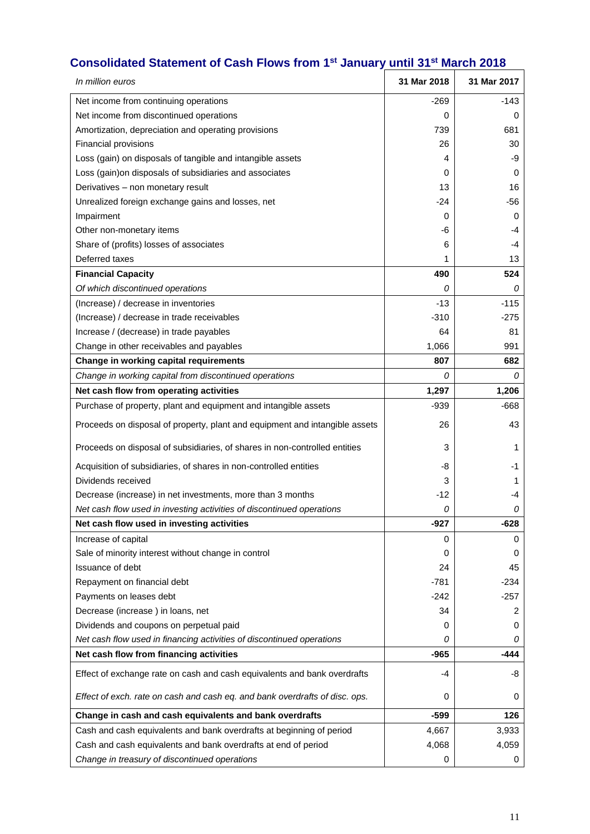### **Consolidated Statement of Cash Flows from 1st January until 31 st March 2018**

| In million euros                                                            | 31 Mar 2018 | 31 Mar 2017 |
|-----------------------------------------------------------------------------|-------------|-------------|
| Net income from continuing operations                                       | $-269$      | $-143$      |
| Net income from discontinued operations                                     | 0           | 0           |
| Amortization, depreciation and operating provisions                         | 739         | 681         |
| Financial provisions                                                        | 26          | 30          |
| Loss (gain) on disposals of tangible and intangible assets                  | 4           | -9          |
| Loss (gain) on disposals of subsidiaries and associates                     | 0           | 0           |
| Derivatives - non monetary result                                           | 13          | 16          |
| Unrealized foreign exchange gains and losses, net                           | -24         | -56         |
| Impairment                                                                  | 0           | 0           |
| Other non-monetary items                                                    | -6          | -4          |
| Share of (profits) losses of associates                                     | 6           | -4          |
| Deferred taxes                                                              | 1           | 13          |
| <b>Financial Capacity</b>                                                   | 490         | 524         |
| Of which discontinued operations                                            | 0           | 0           |
| (Increase) / decrease in inventories                                        | $-13$       | $-115$      |
| (Increase) / decrease in trade receivables                                  | $-310$      | $-275$      |
| Increase / (decrease) in trade payables                                     | 64          | 81          |
| Change in other receivables and payables                                    | 1,066       | 991         |
| Change in working capital requirements                                      | 807         | 682         |
| Change in working capital from discontinued operations                      | 0           | 0           |
| Net cash flow from operating activities                                     | 1,297       | 1,206       |
| Purchase of property, plant and equipment and intangible assets             | $-939$      | $-668$      |
| Proceeds on disposal of property, plant and equipment and intangible assets | 26          | 43          |
| Proceeds on disposal of subsidiaries, of shares in non-controlled entities  | 3           | 1           |
| Acquisition of subsidiaries, of shares in non-controlled entities           | -8          | -1          |
| Dividends received                                                          | 3           | 1           |
| Decrease (increase) in net investments, more than 3 months                  | $-12$       | -4          |
| Net cash flow used in investing activities of discontinued operations       | 0           | 0           |
| Net cash flow used in investing activities                                  | $-927$      | $-628$      |
| Increase of capital                                                         | 0           | 0           |
| Sale of minority interest without change in control                         | 0           | 0           |
| Issuance of debt                                                            | 24          | 45          |
| Repayment on financial debt                                                 | -781        | $-234$      |
| Payments on leases debt                                                     | $-242$      | $-257$      |
| Decrease (increase) in loans, net                                           | 34          | 2           |
| Dividends and coupons on perpetual paid                                     | 0           | 0           |
| Net cash flow used in financing activities of discontinued operations       | 0           | 0           |
| Net cash flow from financing activities                                     | $-965$      | -444        |
| Effect of exchange rate on cash and cash equivalents and bank overdrafts    | -4          | -8          |
| Effect of exch. rate on cash and cash eq. and bank overdrafts of disc. ops. | 0           | 0           |
| Change in cash and cash equivalents and bank overdrafts                     | $-599$      | 126         |
| Cash and cash equivalents and bank overdrafts at beginning of period        | 4,667       | 3,933       |
| Cash and cash equivalents and bank overdrafts at end of period              | 4,068       | 4,059       |
| Change in treasury of discontinued operations                               | 0           | 0           |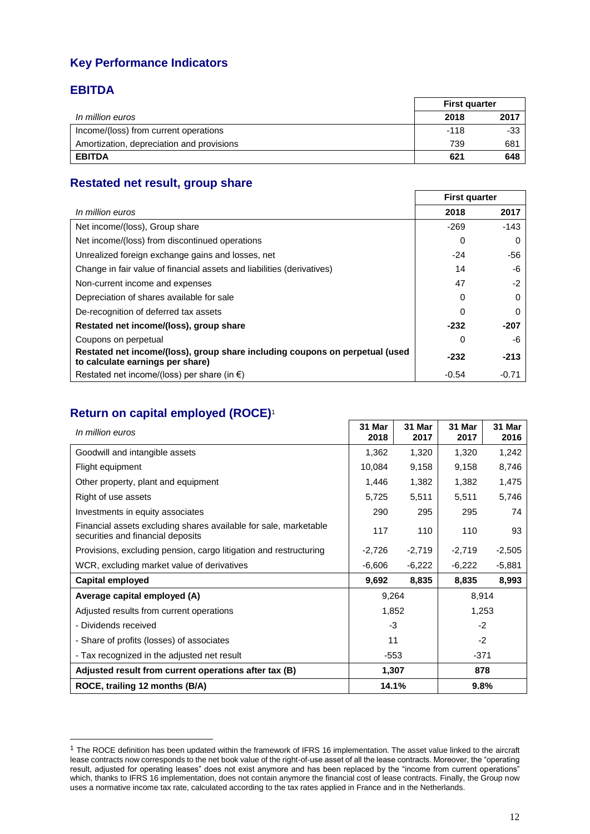# **Key Performance Indicators**

# **EBITDA**

-

|                                           | <b>First quarter</b> |      |  |
|-------------------------------------------|----------------------|------|--|
| In million euros                          | 2018                 | 2017 |  |
| Income/(loss) from current operations     | $-118$               | -33  |  |
| Amortization, depreciation and provisions | 739                  | 681  |  |
| <b>EBITDA</b>                             | 621                  | 648  |  |

# **Restated net result, group share**

|                                                                                                                  | <b>First quarter</b> |        |
|------------------------------------------------------------------------------------------------------------------|----------------------|--------|
| In million euros                                                                                                 | 2018                 | 2017   |
| Net income/(loss), Group share                                                                                   | $-269$               | $-143$ |
| Net income/(loss) from discontinued operations                                                                   | 0                    |        |
| Unrealized foreign exchange gains and losses, net                                                                | $-24$                | -56    |
| Change in fair value of financial assets and liabilities (derivatives)                                           | 14                   | -6     |
| Non-current income and expenses                                                                                  | 47                   | -2     |
| Depreciation of shares available for sale                                                                        | 0                    | 0      |
| De-recognition of deferred tax assets                                                                            | 0                    |        |
| Restated net income/(loss), group share                                                                          | $-232$               | -207   |
| Coupons on perpetual                                                                                             | 0                    | -6     |
| Restated net income/(loss), group share including coupons on perpetual (used<br>to calculate earnings per share) | $-232$               | $-213$ |
| Restated net income/(loss) per share (in $\epsilon$ )                                                            | $-0.54$              | -0.71  |

# **Return on capital employed (ROCE)**<sup>1</sup>

| In million euros                                                                                      | 31 Mar<br>2018 | 31 Mar<br>2017 | 31 Mar<br>2017 | 31 Mar<br>2016 |
|-------------------------------------------------------------------------------------------------------|----------------|----------------|----------------|----------------|
| Goodwill and intangible assets                                                                        | 1,362          | 1,320          | 1,320          | 1,242          |
| Flight equipment                                                                                      | 10,084         | 9,158          | 9,158          | 8,746          |
| Other property, plant and equipment                                                                   | 1,446          | 1,382          | 1,382          | 1,475          |
| Right of use assets                                                                                   | 5,725          | 5,511          | 5,511          | 5,746          |
| Investments in equity associates                                                                      | 290            | 295            | 295            | 74             |
| Financial assets excluding shares available for sale, marketable<br>securities and financial deposits | 117            | 110            | 110            | 93             |
| Provisions, excluding pension, cargo litigation and restructuring                                     | $-2,726$       | $-2,719$       | $-2,719$       | $-2,505$       |
| WCR, excluding market value of derivatives                                                            | $-6,606$       | $-6,222$       | $-6,222$       | $-5,881$       |
| <b>Capital employed</b>                                                                               | 9,692          | 8,835          | 8,835          | 8,993          |
| Average capital employed (A)                                                                          | 9,264          |                | 8,914          |                |
| Adjusted results from current operations                                                              | 1,852          |                | 1,253          |                |
| - Dividends received                                                                                  | $-3$           |                | $-2$           |                |
| - Share of profits (losses) of associates                                                             | 11             |                | $-2$           |                |
| - Tax recognized in the adjusted net result                                                           | $-553$         |                | $-371$         |                |
| Adjusted result from current operations after tax (B)                                                 | 1,307          |                | 878            |                |
| ROCE, trailing 12 months (B/A)                                                                        | 14.1%          |                | 9.8%           |                |

<sup>&</sup>lt;sup>1</sup> The ROCE definition has been updated within the framework of IFRS 16 implementation. The asset value linked to the aircraft lease contracts now corresponds to the net book value of the right-of-use asset of all the lease contracts. Moreover, the "operating result, adjusted for operating leases" does not exist anymore and has been replaced by the "income from current operations" which, thanks to IFRS 16 implementation, does not contain anymore the financial cost of lease contracts. Finally, the Group now uses a normative income tax rate, calculated according to the tax rates applied in France and in the Netherlands.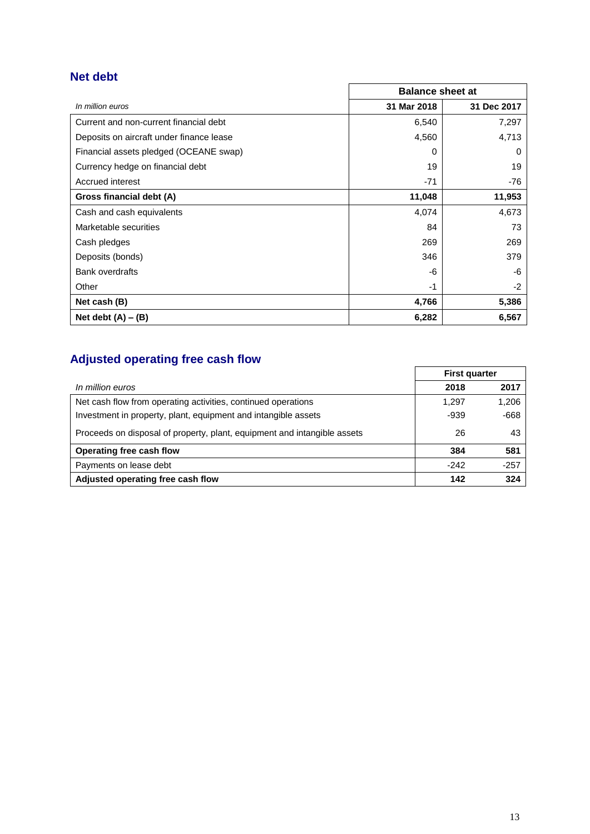# **Net debt**

|                                          | <b>Balance sheet at</b> |             |  |
|------------------------------------------|-------------------------|-------------|--|
| In million euros                         | 31 Mar 2018             | 31 Dec 2017 |  |
| Current and non-current financial debt   | 6,540                   | 7,297       |  |
| Deposits on aircraft under finance lease | 4,560                   | 4,713       |  |
| Financial assets pledged (OCEANE swap)   | 0                       | 0           |  |
| Currency hedge on financial debt         | 19                      | 19          |  |
| Accrued interest                         | $-71$                   | -76         |  |
| Gross financial debt (A)                 | 11,048                  | 11,953      |  |
| Cash and cash equivalents                | 4,074                   | 4,673       |  |
| Marketable securities                    | 84                      | 73          |  |
| Cash pledges                             | 269                     | 269         |  |
| Deposits (bonds)                         | 346                     | 379         |  |
| <b>Bank overdrafts</b>                   | -6                      | -6          |  |
| Other                                    | -1                      | $-2$        |  |
| Net cash (B)                             | 4,766                   | 5,386       |  |
| Net debt $(A) - (B)$                     | 6,282                   | 6,567       |  |

# **Adjusted operating free cash flow**

| 1.41                                                                     | <b>First quarter</b> |        |  |
|--------------------------------------------------------------------------|----------------------|--------|--|
| In million euros                                                         | 2018                 | 2017   |  |
| Net cash flow from operating activities, continued operations            | 1.297                | 1,206  |  |
| Investment in property, plant, equipment and intangible assets           | $-939$               | $-668$ |  |
| Proceeds on disposal of property, plant, equipment and intangible assets | 26                   | 43     |  |
| Operating free cash flow                                                 | 384                  | 581    |  |
| Payments on lease debt                                                   | $-242$               | $-257$ |  |
| Adjusted operating free cash flow                                        | 142                  | 324    |  |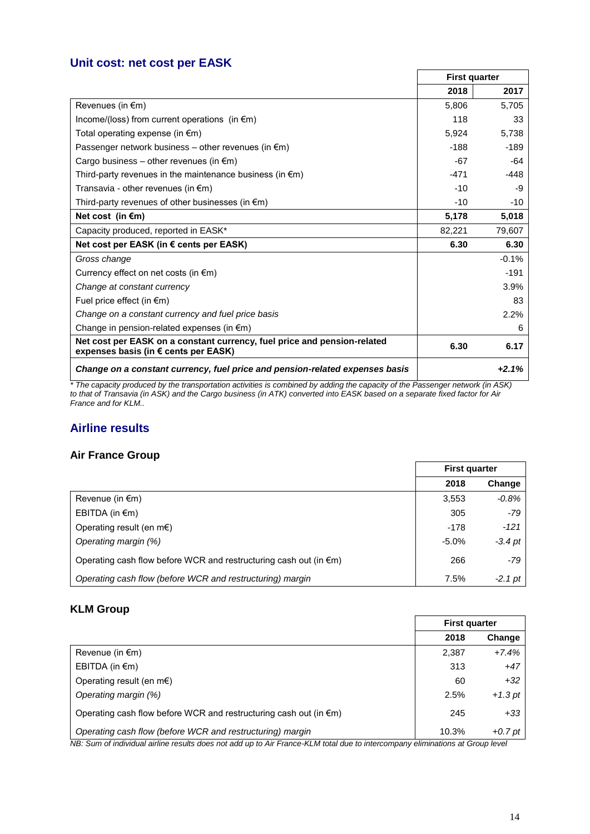# **Unit cost: net cost per EASK**

|                                                                                                                  | <b>First quarter</b> |         |
|------------------------------------------------------------------------------------------------------------------|----------------------|---------|
|                                                                                                                  | 2018                 | 2017    |
| Revenues (in $\epsilon$ m)                                                                                       | 5.806                | 5.705   |
| Income/(loss) from current operations (in $\epsilon$ m)                                                          | 118                  | 33      |
| Total operating expense (in $\epsilon$ m)                                                                        | 5,924                | 5,738   |
| Passenger network business – other revenues (in $\epsilon$ m)                                                    | $-188$               | $-189$  |
| Cargo business – other revenues (in $\epsilon$ m)                                                                | $-67$                | -64     |
| Third-party revenues in the maintenance business (in $\epsilon$ m)                                               | $-471$               | $-448$  |
| Transavia - other revenues (in $\epsilon$ m)                                                                     | $-10$                | -9      |
| Third-party revenues of other businesses (in $\epsilon$ m)                                                       | $-10$                | $-10$   |
| Net cost (in $\epsilon$ m)                                                                                       | 5,178                | 5,018   |
| Capacity produced, reported in EASK*                                                                             | 82,221               | 79,607  |
| Net cost per EASK (in € cents per EASK)                                                                          | 6.30                 | 6.30    |
| Gross change                                                                                                     |                      | $-0.1%$ |
| Currency effect on net costs (in $\epsilon$ m)                                                                   |                      | $-191$  |
| Change at constant currency                                                                                      |                      | 3.9%    |
| Fuel price effect (in $\epsilon$ m)                                                                              |                      | 83      |
| Change on a constant currency and fuel price basis                                                               |                      | 2.2%    |
| Change in pension-related expenses (in $\epsilon$ m)                                                             |                      | 6       |
| Net cost per EASK on a constant currency, fuel price and pension-related<br>expenses basis (in € cents per EASK) | 6.30                 | 6.17    |
| Change on a constant currency, fuel price and pension-related expenses basis                                     |                      | $+2.1%$ |

*\* The capacity produced by the transportation activities is combined by adding the capacity of the Passenger network (in ASK) to that of Transavia (in ASK) and the Cargo business (in ATK) converted into EASK based on a separate fixed factor for Air France and for KLM..*

# **Airline results**

#### **Air France Group**

|                                                                             | <b>First quarter</b> |           |  |
|-----------------------------------------------------------------------------|----------------------|-----------|--|
|                                                                             | 2018                 | Change    |  |
| Revenue (in $\epsilon$ m)                                                   | 3,553                | $-0.8%$   |  |
| EBITDA (in $\epsilon$ m)                                                    | 305                  | -79       |  |
| Operating result (en m $\epsilon$ )                                         | $-178$               | $-121$    |  |
| Operating margin (%)                                                        | $-5.0%$              | $-3.4$ pt |  |
| Operating cash flow before WCR and restructuring cash out (in $\epsilon$ m) | 266                  | $-79$     |  |
| Operating cash flow (before WCR and restructuring) margin                   | 7.5%                 | $-2.1$ pt |  |

#### **KLM Group**

|                                                                             | <b>First quarter</b> |           |  |
|-----------------------------------------------------------------------------|----------------------|-----------|--|
|                                                                             | 2018                 | Change    |  |
| Revenue (in $\epsilon$ m)                                                   | 2,387                | $+7.4%$   |  |
| EBITDA (in $\epsilon$ m)                                                    | 313                  | $+47$     |  |
| Operating result (en $m \in$ )                                              | 60                   | $+32$     |  |
| Operating margin (%)                                                        | 2.5%                 | $+1.3$ pt |  |
| Operating cash flow before WCR and restructuring cash out (in $\epsilon$ m) | 245                  | $+33$     |  |
| Operating cash flow (before WCR and restructuring) margin<br>$\cdots$       | 10.3%                | $+0.7$ pt |  |

*NB: Sum of individual airline results does not add up to Air France-KLM total due to intercompany eliminations at Group level*